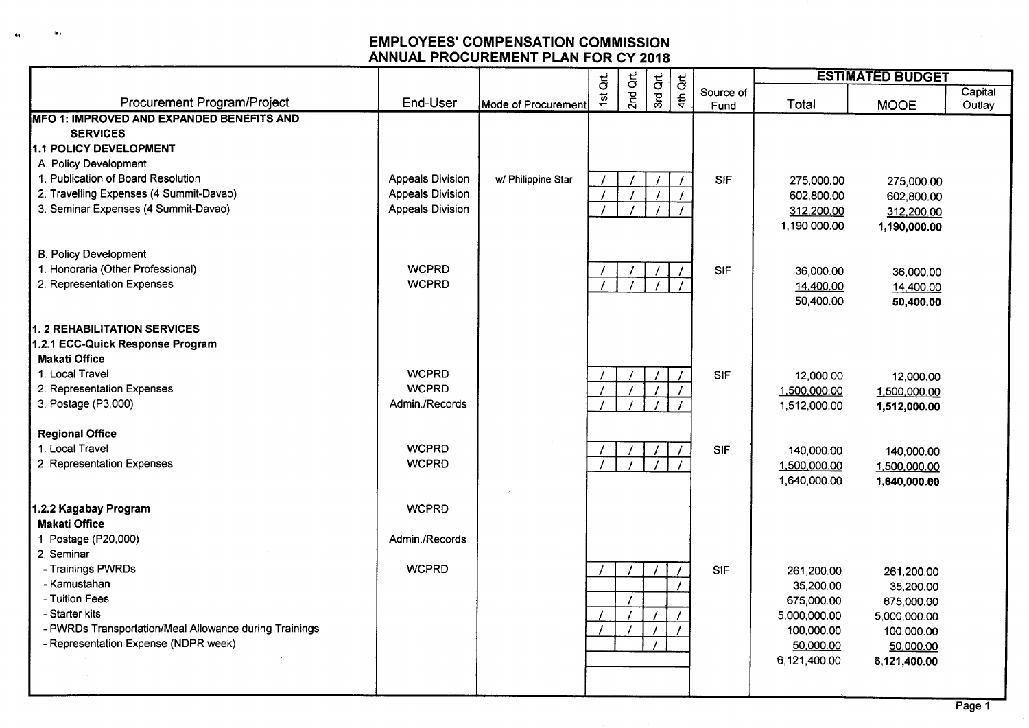## **At EMPLOYEES' COMPENSATION COMMISSION** ANNUAL PROCUREMENT PLAN FOR CY 2018

|                                                        |                         |                     | $\overline{\mathbf{5}}$ |          |          | $\vec{a}$ |            |              | <b>ESTIMATED BUDGET</b> |         |
|--------------------------------------------------------|-------------------------|---------------------|-------------------------|----------|----------|-----------|------------|--------------|-------------------------|---------|
| Procurement Program/Project                            | End-User                |                     | 15 <sup>1</sup>         | 2nd Qrt. | 3rd Qrt. | 4th       | Source of  |              |                         | Capital |
| MFO 1: IMPROVED AND EXPANDED BENEFITS AND              |                         | Mode of Procurement |                         |          |          |           | Fund       | Total        | <b>MOOE</b>             | Outlay  |
| <b>SERVICES</b>                                        |                         |                     |                         |          |          |           |            |              |                         |         |
| 1.1 POLICY DEVELOPMENT                                 |                         |                     |                         |          |          |           |            |              |                         |         |
| A. Policy Development                                  |                         |                     |                         |          |          |           |            |              |                         |         |
| 1. Publication of Board Resolution                     | <b>Appeals Division</b> | w/ Philippine Star  |                         |          |          |           | <b>SIF</b> | 275,000.00   | 275,000.00              |         |
| 2. Travelling Expenses (4 Summit-Davao)                | <b>Appeals Division</b> |                     |                         |          |          |           |            | 602,800.00   | 602,800.00              |         |
| 3. Seminar Expenses (4 Summit-Davao)                   | <b>Appeals Division</b> |                     |                         |          |          |           |            | 312,200.00   | 312,200.00              |         |
|                                                        |                         |                     |                         |          |          |           |            | 1,190,000.00 | 1,190,000.00            |         |
| <b>B. Policy Development</b>                           |                         |                     |                         |          |          |           |            |              |                         |         |
| 1. Honoraria (Other Professional)                      | <b>WCPRD</b>            |                     |                         |          |          |           | <b>SIF</b> | 36,000.00    | 36,000.00               |         |
| 2. Representation Expenses                             | <b>WCPRD</b>            |                     |                         |          |          |           |            | 14,400.00    | 14,400.00               |         |
|                                                        |                         |                     |                         |          |          |           |            | 50,400.00    | 50,400.00               |         |
| 1. 2 REHABILITATION SERVICES                           |                         |                     |                         |          |          |           |            |              |                         |         |
| 1.2.1 ECC-Quick Response Program                       |                         |                     |                         |          |          |           |            |              |                         |         |
| <b>Makati Office</b>                                   |                         |                     |                         |          |          |           |            |              |                         |         |
| 1. Local Travel                                        | <b>WCPRD</b>            |                     |                         |          |          |           | <b>SIF</b> | 12,000.00    | 12,000.00               |         |
| 2. Representation Expenses                             | <b>WCPRD</b>            |                     |                         |          |          |           |            | 1,500,000.00 | 1,500,000.00            |         |
| 3. Postage (P3,000)                                    | Admin./Records          |                     |                         |          |          |           |            | 1,512,000.00 | 1,512,000.00            |         |
| <b>Regional Office</b>                                 |                         |                     |                         |          |          |           |            |              |                         |         |
| 1. Local Travel                                        | <b>WCPRD</b>            |                     |                         |          |          |           | <b>SIF</b> | 140,000.00   | 140,000.00              |         |
| 2. Representation Expenses                             | <b>WCPRD</b>            |                     |                         |          |          |           |            | 1,500,000.00 | 1,500,000.00            |         |
|                                                        |                         |                     |                         |          |          |           |            | 1,640,000.00 | 1,640,000.00            |         |
| 1.2.2 Kagabay Program                                  | <b>WCPRD</b>            |                     |                         |          |          |           |            |              |                         |         |
| <b>Makati Office</b>                                   |                         |                     |                         |          |          |           |            |              |                         |         |
| 1. Postage (P20,000)                                   | Admin./Records          |                     |                         |          |          |           |            |              |                         |         |
| 2. Seminar                                             |                         |                     |                         |          |          |           |            |              |                         |         |
| - Trainings PWRDs                                      | <b>WCPRD</b>            |                     |                         |          |          |           | <b>SIF</b> | 261,200.00   | 261,200.00              |         |
| - Kamustahan                                           |                         |                     |                         |          |          |           |            | 35,200.00    | 35,200.00               |         |
| - Tuition Fees                                         |                         |                     |                         |          |          |           |            | 675,000.00   | 675,000.00              |         |
| - Starter kits                                         |                         |                     |                         |          |          |           |            | 5,000,000.00 | 5,000,000.00            |         |
| - PWRDs Transportation/Meal Allowance during Trainings |                         |                     |                         |          |          |           |            | 100,000.00   | 100,000.00              |         |
| - Representation Expense (NDPR week)                   |                         |                     |                         |          |          |           |            | 50,000.00    | 50,000.00               |         |
|                                                        |                         |                     |                         |          |          |           |            | 6.121.400.00 | 6,121,400.00            |         |
|                                                        |                         |                     |                         |          |          |           |            |              |                         |         |
|                                                        |                         |                     |                         |          |          |           |            |              |                         |         |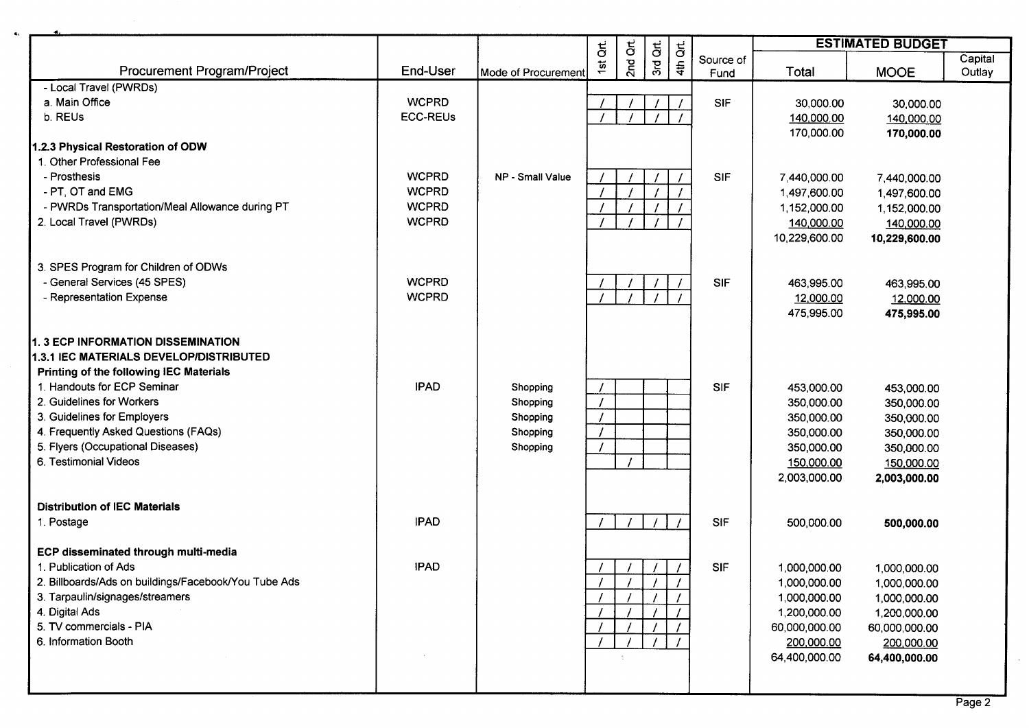|                                                                                                                                                                                                                                                                                                                          |                                                              |                                                          | $\vec{a}$     | $\vec{a}$       |          | $\mathbf{g}$    |                   |                                                                                                              | <b>ESTIMATED BUDGET</b>                                                                                      |                   |
|--------------------------------------------------------------------------------------------------------------------------------------------------------------------------------------------------------------------------------------------------------------------------------------------------------------------------|--------------------------------------------------------------|----------------------------------------------------------|---------------|-----------------|----------|-----------------|-------------------|--------------------------------------------------------------------------------------------------------------|--------------------------------------------------------------------------------------------------------------|-------------------|
| Procurement Program/Project                                                                                                                                                                                                                                                                                              | End-User                                                     | Mode of Procurement                                      | $\frac{1}{2}$ | 2n <sub>d</sub> | 3rd Qrt. | 4 <sup>th</sup> | Source of<br>Fund | Total                                                                                                        | <b>MOOE</b>                                                                                                  | Capital<br>Outlay |
| - Local Travel (PWRDs)<br>a. Main Office<br>b. REUs                                                                                                                                                                                                                                                                      | <b>WCPRD</b><br><b>ECC-REUS</b>                              |                                                          |               |                 |          |                 | <b>SIF</b>        | 30,000.00<br>140,000.00<br>170,000.00                                                                        | 30,000.00<br>140,000.00<br>170,000.00                                                                        |                   |
| 1.2.3 Physical Restoration of ODW<br>1. Other Professional Fee<br>- Prosthesis<br>- PT, OT and EMG<br>- PWRDs Transportation/Meal Allowance during PT<br>2. Local Travel (PWRDs)                                                                                                                                         | <b>WCPRD</b><br><b>WCPRD</b><br><b>WCPRD</b><br><b>WCPRD</b> | NP - Small Value                                         |               |                 |          |                 | <b>SIF</b>        | 7,440,000.00<br>1,497,600.00<br>1,152,000.00<br>140,000.00<br>10,229,600.00                                  | 7,440,000.00<br>1,497,600.00<br>1,152,000.00<br>140,000.00<br>10,229,600.00                                  |                   |
| 3. SPES Program for Children of ODWs<br>- General Services (45 SPES)<br>- Representation Expense                                                                                                                                                                                                                         | <b>WCPRD</b><br><b>WCPRD</b>                                 |                                                          |               |                 |          |                 | <b>SIF</b>        | 463,995.00<br>12,000.00<br>475,995.00                                                                        | 463,995.00<br>12,000.00<br>475,995.00                                                                        |                   |
| 1.3 ECP INFORMATION DISSEMINATION<br>1.3.1 IEC MATERIALS DEVELOP/DISTRIBUTED<br>Printing of the following IEC Materials<br>1. Handouts for ECP Seminar<br>2. Guidelines for Workers<br>3. Guidelines for Employers<br>4. Frequently Asked Questions (FAQs)<br>5. Flyers (Occupational Diseases)<br>6. Testimonial Videos | <b>IPAD</b>                                                  | Shopping<br>Shopping<br>Shopping<br>Shopping<br>Shopping |               |                 |          |                 | <b>SIF</b>        | 453,000.00<br>350,000.00<br>350,000.00<br>350,000.00<br>350,000.00<br>150,000.00<br>2,003,000.00             | 453,000.00<br>350,000.00<br>350,000.00<br>350,000.00<br>350,000.00<br>150,000.00<br>2,003,000.00             |                   |
| <b>Distribution of IEC Materials</b><br>1. Postage                                                                                                                                                                                                                                                                       | <b>IPAD</b>                                                  |                                                          |               |                 |          |                 | <b>SIF</b>        | 500,000.00                                                                                                   | 500,000.00                                                                                                   |                   |
| ECP disseminated through multi-media<br>1. Publication of Ads<br>2. Billboards/Ads on buildings/Facebook/You Tube Ads<br>3. Tarpaulin/signages/streamers<br>4. Digital Ads<br>5. TV commercials - PIA<br>6. Information Booth                                                                                            | <b>IPAD</b>                                                  |                                                          |               | $\Lambda$       |          |                 | <b>SIF</b>        | 1,000,000.00<br>1,000,000.00<br>1,000,000.00<br>1,200,000.00<br>60,000,000.00<br>200,000.00<br>64,400,000.00 | 1,000,000.00<br>1,000,000.00<br>1,000,000.00<br>1,200,000.00<br>60,000,000.00<br>200,000.00<br>64,400,000.00 |                   |

 $\tilde{\mathbf{g}}_3$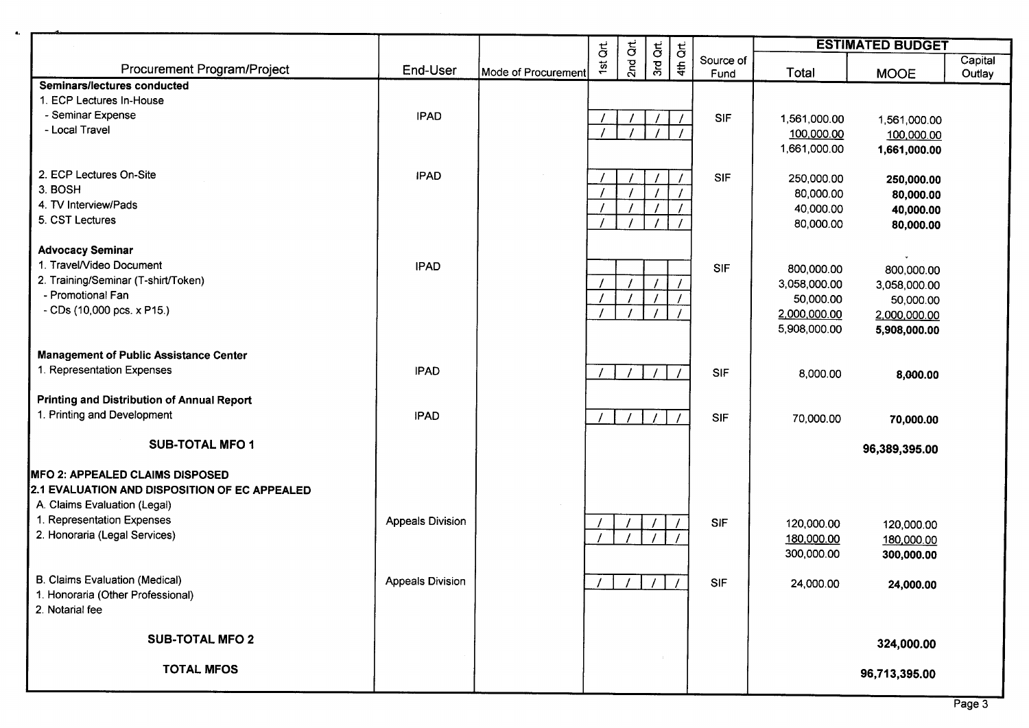|                                                                                                                                                                                        |                         |                     | $\vec{a}$     |                | $\vec{\sigma}$   | $\vec{\sigma}$  |                   |                                                                         | <b>ESTIMATED BUDGET</b>                                                 |                   |
|----------------------------------------------------------------------------------------------------------------------------------------------------------------------------------------|-------------------------|---------------------|---------------|----------------|------------------|-----------------|-------------------|-------------------------------------------------------------------------|-------------------------------------------------------------------------|-------------------|
| Procurement Program/Project                                                                                                                                                            | End-User                | Mode of Procurement | $\frac{1}{2}$ | 2nd Qrt.       | 3 <sub>rd</sub>  | 4 <sup>th</sup> | Source of<br>Fund | Total                                                                   | <b>MOOE</b>                                                             | Capital<br>Outlay |
| Seminars/lectures conducted<br>1. ECP Lectures In-House<br>- Seminar Expense<br>- Local Travel                                                                                         | <b>IPAD</b>             |                     |               |                |                  |                 | <b>SIF</b>        | 1,561,000.00<br>100,000.00<br>1,661,000.00                              | 1,561,000.00<br>100,000.00<br>1,661,000.00                              |                   |
| 2. ECP Lectures On-Site<br>3. BOSH<br>4. TV Interview/Pads<br>5. CST Lectures                                                                                                          | <b>IPAD</b>             |                     |               |                |                  |                 | <b>SIF</b>        | 250,000.00<br>80,000.00<br>40,000.00<br>80,000.00                       | 250,000.00<br>80,000.00<br>40,000.00<br>80,000.00                       |                   |
| <b>Advocacy Seminar</b><br>1. Travel/Video Document<br>2. Training/Seminar (T-shirt/Token)<br>- Promotional Fan<br>- CDs (10,000 pcs. x P15.)                                          | <b>IPAD</b>             |                     |               |                |                  |                 | <b>SIF</b>        | 800,000.00<br>3,058,000.00<br>50,000.00<br>2,000,000.00<br>5,908,000.00 | 800,000.00<br>3,058,000.00<br>50,000.00<br>2,000,000.00<br>5,908,000.00 |                   |
| <b>Management of Public Assistance Center</b><br>1. Representation Expenses                                                                                                            | <b>IPAD</b>             |                     |               |                |                  |                 | <b>SIF</b>        | 8,000.00                                                                | 8,000.00                                                                |                   |
| Printing and Distribution of Annual Report<br>1. Printing and Development                                                                                                              | <b>IPAD</b>             |                     |               |                |                  |                 | <b>SIF</b>        | 70,000.00                                                               | 70,000.00                                                               |                   |
| <b>SUB-TOTAL MFO 1</b>                                                                                                                                                                 |                         |                     |               |                |                  |                 |                   |                                                                         | 96,389,395.00                                                           |                   |
| <b>MFO 2: APPEALED CLAIMS DISPOSED</b><br>2.1 EVALUATION AND DISPOSITION OF EC APPEALED<br>A. Claims Evaluation (Legal)<br>1. Representation Expenses<br>2. Honoraria (Legal Services) | <b>Appeals Division</b> |                     |               |                |                  |                 | <b>SIF</b>        | 120,000.00<br>180,000.00<br>300,000.00                                  | 120,000.00<br>180,000.00<br>300,000.00                                  |                   |
| <b>B. Claims Evaluation (Medical)</b><br>1. Honoraria (Other Professional)<br>2. Notarial fee                                                                                          | <b>Appeals Division</b> |                     |               | $\overline{1}$ | $\left  \right $ | $\sqrt{ }$      | <b>SIF</b>        | 24,000.00                                                               | 24,000.00                                                               |                   |
| <b>SUB-TOTAL MFO 2</b>                                                                                                                                                                 |                         |                     |               |                |                  |                 |                   |                                                                         | 324,000.00                                                              |                   |
| <b>TOTAL MFOS</b>                                                                                                                                                                      |                         |                     |               |                |                  |                 |                   |                                                                         | 96,713,395.00                                                           |                   |

 $\mathbf{a}_i$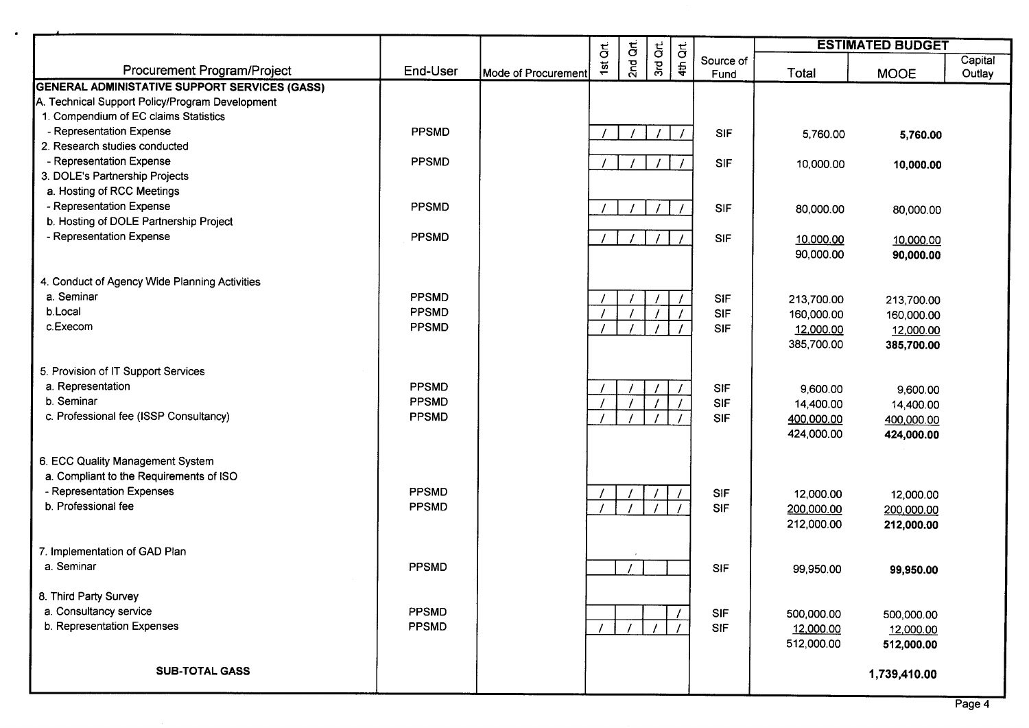|                                                      |              |                     | $\vec{a}$ | $\rm \tilde{g}$ |          | $\vec{a}$       |                   |            | <b>ESTIMATED BUDGET</b> |                   |
|------------------------------------------------------|--------------|---------------------|-----------|-----------------|----------|-----------------|-------------------|------------|-------------------------|-------------------|
| Procurement Program/Project                          | End-User     | Mode of Procurement | 15t       | 2n <sub>d</sub> | 3rd Qrt. | 4 <sup>th</sup> | Source of<br>Fund | Total      | <b>MOOE</b>             | Capital<br>Outlay |
| <b>GENERAL ADMINISTATIVE SUPPORT SERVICES (GASS)</b> |              |                     |           |                 |          |                 |                   |            |                         |                   |
| A. Technical Support Policy/Program Development      |              |                     |           |                 |          |                 |                   |            |                         |                   |
| 1. Compendium of EC claims Statistics                |              |                     |           |                 |          |                 |                   |            |                         |                   |
| - Representation Expense                             | PPSMD        |                     |           |                 |          |                 | <b>SIF</b>        | 5,760.00   | 5,760.00                |                   |
| 2. Research studies conducted                        |              |                     |           |                 |          |                 |                   |            |                         |                   |
| - Representation Expense                             | PPSMD        |                     |           |                 |          |                 | <b>SIF</b>        | 10,000.00  | 10,000.00               |                   |
| 3. DOLE's Partnership Projects                       |              |                     |           |                 |          |                 |                   |            |                         |                   |
| a. Hosting of RCC Meetings                           |              |                     |           |                 |          |                 |                   |            |                         |                   |
| - Representation Expense                             | PPSMD        |                     |           |                 |          |                 | <b>SIF</b>        | 80,000.00  | 80,000.00               |                   |
| b. Hosting of DOLE Partnership Project               |              |                     |           |                 |          |                 |                   |            |                         |                   |
| - Representation Expense                             | <b>PPSMD</b> |                     |           |                 |          |                 | <b>SIF</b>        | 10,000.00  | 10,000.00               |                   |
|                                                      |              |                     |           |                 |          |                 |                   | 90,000.00  | 90,000.00               |                   |
|                                                      |              |                     |           |                 |          |                 |                   |            |                         |                   |
| 4. Conduct of Agency Wide Planning Activities        |              |                     |           |                 |          |                 |                   |            |                         |                   |
| a. Seminar                                           | PPSMD        |                     |           |                 |          |                 | <b>SIF</b>        | 213,700.00 | 213,700.00              |                   |
| b.Local                                              | PPSMD        |                     |           |                 |          |                 | <b>SIF</b>        | 160,000.00 | 160,000.00              |                   |
| c.Execom                                             | PPSMD        |                     |           |                 |          |                 | <b>SIF</b>        | 12,000.00  | 12,000.00               |                   |
|                                                      |              |                     |           |                 |          |                 |                   | 385,700.00 | 385,700.00              |                   |
|                                                      |              |                     |           |                 |          |                 |                   |            |                         |                   |
| 5. Provision of IT Support Services                  |              |                     |           |                 |          |                 |                   |            |                         |                   |
| a. Representation                                    | <b>PPSMD</b> |                     |           |                 |          |                 | <b>SIF</b>        | 9,600.00   | 9,600.00                |                   |
| b. Seminar                                           | PPSMD        |                     |           |                 |          |                 | <b>SIF</b>        | 14,400.00  | 14,400.00               |                   |
| c. Professional fee (ISSP Consultancy)               | <b>PPSMD</b> |                     |           |                 |          |                 | <b>SIF</b>        | 400,000.00 | 400,000.00              |                   |
|                                                      |              |                     |           |                 |          |                 |                   | 424,000.00 | 424,000.00              |                   |
|                                                      |              |                     |           |                 |          |                 |                   |            |                         |                   |
| 6. ECC Quality Management System                     |              |                     |           |                 |          |                 |                   |            |                         |                   |
| a. Compliant to the Requirements of ISO              |              |                     |           |                 |          |                 |                   |            |                         |                   |
| - Representation Expenses                            | <b>PPSMD</b> |                     |           |                 |          |                 | <b>SIF</b>        | 12,000.00  | 12,000.00               |                   |
| b. Professional fee                                  | PPSMD        |                     |           |                 |          |                 | <b>SIF</b>        | 200,000.00 | 200,000.00              |                   |
|                                                      |              |                     |           |                 |          |                 |                   | 212,000.00 | 212,000.00              |                   |
|                                                      |              |                     |           |                 |          |                 |                   |            |                         |                   |
| 7. Implementation of GAD Plan                        |              |                     |           |                 |          |                 |                   |            |                         |                   |
| a. Seminar                                           | PPSMD        |                     |           |                 |          |                 | <b>SIF</b>        | 99,950.00  | 99,950.00               |                   |
|                                                      |              |                     |           |                 |          |                 |                   |            |                         |                   |
| 8. Third Party Survey                                |              |                     |           |                 |          |                 |                   |            |                         |                   |
| a. Consultancy service                               | PPSMD        |                     |           |                 |          |                 | <b>SIF</b>        | 500,000.00 | 500,000.00              |                   |
| b. Representation Expenses                           | <b>PPSMD</b> |                     |           |                 |          |                 | <b>SIF</b>        | 12,000.00  | 12,000.00               |                   |
|                                                      |              |                     |           |                 |          |                 |                   | 512,000.00 | 512,000.00              |                   |
|                                                      |              |                     |           |                 |          |                 |                   |            |                         |                   |
| <b>SUB-TOTAL GASS</b>                                |              |                     |           |                 |          |                 |                   |            | 1,739,410.00            |                   |
|                                                      |              |                     |           |                 |          |                 |                   |            |                         |                   |

 $\bullet$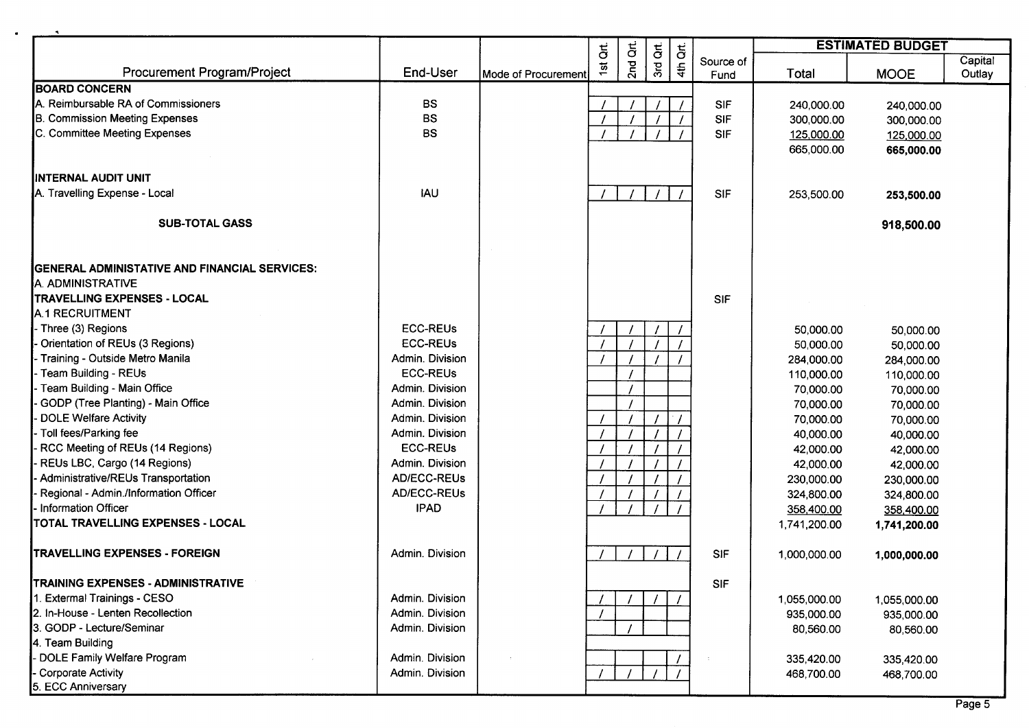|                                                      |                    |                     | $\overline{5}$  | $\vec{a}$        | $\vec{5}$<br>ă         |            |              | <b>ESTIMATED BUDGET</b> |                   |
|------------------------------------------------------|--------------------|---------------------|-----------------|------------------|------------------------|------------|--------------|-------------------------|-------------------|
| Procurement Program/Project                          | End-User           | Mode of Procurement | 15 <sub>1</sub> | 2nd <sub>1</sub> | პrd<br>4 <sup>th</sup> | Source of  | Total        | <b>MOOE</b>             | Capital<br>Outlay |
| <b>BOARD CONCERN</b>                                 |                    |                     |                 |                  |                        | Fund       |              |                         |                   |
| A. Reimbursable RA of Commissioners                  | <b>BS</b>          |                     |                 |                  |                        | <b>SIF</b> | 240,000.00   | 240,000.00              |                   |
| <b>B. Commission Meeting Expenses</b>                | <b>BS</b>          |                     |                 |                  |                        | <b>SIF</b> | 300,000.00   | 300,000.00              |                   |
| C. Committee Meeting Expenses                        | <b>BS</b>          |                     |                 |                  |                        | <b>SIF</b> | 125,000.00   | 125,000.00              |                   |
|                                                      |                    |                     |                 |                  |                        |            | 665,000.00   | 665,000.00              |                   |
|                                                      |                    |                     |                 |                  |                        |            |              |                         |                   |
| <b>INTERNAL AUDIT UNIT</b>                           |                    |                     |                 |                  |                        |            |              |                         |                   |
| A. Travelling Expense - Local                        | <b>IAU</b>         |                     |                 |                  |                        | <b>SIF</b> | 253,500.00   | 253,500.00              |                   |
|                                                      |                    |                     |                 |                  |                        |            |              |                         |                   |
| <b>SUB-TOTAL GASS</b>                                |                    |                     |                 |                  |                        |            |              | 918,500.00              |                   |
|                                                      |                    |                     |                 |                  |                        |            |              |                         |                   |
|                                                      |                    |                     |                 |                  |                        |            |              |                         |                   |
| <b>GENERAL ADMINISTATIVE AND FINANCIAL SERVICES:</b> |                    |                     |                 |                  |                        |            |              |                         |                   |
| A. ADMINISTRATIVE                                    |                    |                     |                 |                  |                        |            |              |                         |                   |
| <b>TRAVELLING EXPENSES - LOCAL</b>                   |                    |                     |                 |                  |                        | SIF        |              |                         |                   |
| <b>A.1 RECRUITMENT</b>                               |                    |                     |                 |                  |                        |            |              |                         |                   |
| - Three (3) Regions                                  | <b>ECC-REUs</b>    |                     |                 |                  |                        |            | 50,000.00    | 50,000.00               |                   |
| Orientation of REUs (3 Regions)                      | <b>ECC-REUS</b>    |                     |                 |                  |                        |            | 50,000.00    | 50,000.00               |                   |
| Training - Outside Metro Manila                      | Admin. Division    |                     |                 |                  |                        |            | 284,000.00   | 284,000.00              |                   |
| Team Building - REUs                                 | <b>ECC-REUS</b>    |                     |                 |                  |                        |            | 110,000.00   | 110,000.00              |                   |
| Team Building - Main Office                          | Admin. Division    |                     |                 |                  |                        |            | 70,000.00    | 70,000.00               |                   |
| GODP (Tree Planting) - Main Office                   | Admin. Division    |                     |                 |                  |                        |            | 70,000.00    | 70,000.00               |                   |
| <b>DOLE Welfare Activity</b>                         | Admin. Division    |                     |                 |                  |                        |            | 70,000.00    | 70,000.00               |                   |
| Toll fees/Parking fee                                | Admin. Division    |                     |                 |                  |                        |            | 40,000.00    | 40,000.00               |                   |
| RCC Meeting of REUs (14 Regions)                     | <b>ECC-REUs</b>    |                     |                 |                  |                        |            | 42,000.00    | 42,000.00               |                   |
| REUs LBC, Cargo (14 Regions)                         | Admin. Division    |                     |                 |                  |                        |            | 42,000.00    | 42,000.00               |                   |
| Administrative/REUs Transportation                   | <b>AD/ECC-REUs</b> |                     |                 |                  |                        |            | 230,000.00   | 230,000.00              |                   |
| Regional - Admin./Information Officer                | AD/ECC-REUs        |                     |                 |                  |                        |            | 324,800.00   | 324,800.00              |                   |
| Information Officer                                  | <b>IPAD</b>        |                     |                 |                  |                        |            | 358,400.00   | 358,400.00              |                   |
| TOTAL TRAVELLING EXPENSES - LOCAL                    |                    |                     |                 |                  |                        |            | 1,741,200.00 | 1,741,200.00            |                   |
| <b>TRAVELLING EXPENSES - FOREIGN</b>                 | Admin. Division    |                     |                 |                  |                        | <b>SIF</b> |              |                         |                   |
|                                                      |                    |                     |                 |                  |                        |            | 1,000,000.00 | 1,000,000.00            |                   |
| TRAINING EXPENSES - ADMINISTRATIVE                   |                    |                     |                 |                  |                        | <b>SIF</b> |              |                         |                   |
| 1. Extermal Trainings - CESO                         | Admin. Division    |                     |                 |                  |                        |            | 1,055,000.00 | 1,055,000.00            |                   |
| 2. In-House - Lenten Recollection                    | Admin. Division    |                     |                 |                  |                        |            | 935,000.00   | 935,000.00              |                   |
| 3. GODP - Lecture/Seminar                            | Admin. Division    |                     |                 |                  |                        |            | 80,560.00    | 80,560.00               |                   |
| 4. Team Building                                     |                    |                     |                 |                  |                        |            |              |                         |                   |
| DOLE Family Welfare Program                          | Admin. Division    |                     |                 |                  |                        |            | 335,420.00   | 335,420.00              |                   |
| <b>Corporate Activity</b>                            | Admin. Division    |                     |                 |                  |                        |            | 468,700.00   | 468,700.00              |                   |
| 5. ECC Anniversary                                   |                    |                     |                 |                  |                        |            |              |                         |                   |

 $\mathcal{A}$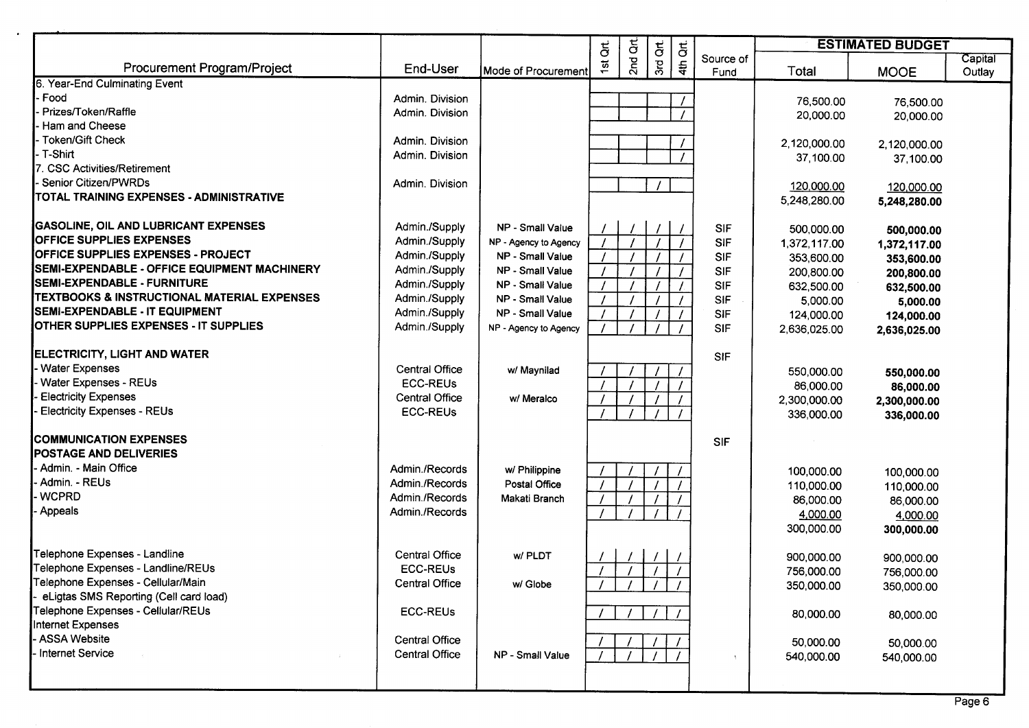|                                                        |                       |                       | ă<br>$\vec{5}$ | $\vec{a}$                   |                   | <b>ESTIMATED BUDGET</b>    |                            |                   |
|--------------------------------------------------------|-----------------------|-----------------------|----------------|-----------------------------|-------------------|----------------------------|----------------------------|-------------------|
| <b>Procurement Program/Project</b>                     | End-User              | Mode of Procurement   | 2nd<br>ಕ       | 3rd Qrt.<br>4 <sup>th</sup> | Source of<br>Fund | Total                      | <b>MOOE</b>                | Capital<br>Outlay |
| 6. Year-End Culminating Event                          |                       |                       |                |                             |                   |                            |                            |                   |
| Food                                                   | Admin. Division       |                       |                |                             |                   | 76,500.00                  | 76,500.00                  |                   |
| Prizes/Token/Raffle                                    | Admin. Division       |                       |                |                             |                   | 20,000.00                  | 20,000.00                  |                   |
| Ham and Cheese                                         |                       |                       |                |                             |                   |                            |                            |                   |
| Token/Gift Check                                       | Admin. Division       |                       |                |                             |                   | 2,120,000.00               | 2,120,000.00               |                   |
| T-Shirt                                                | Admin. Division       |                       |                |                             |                   | 37,100.00                  | 37,100.00                  |                   |
| 7. CSC Activities/Retirement                           |                       |                       |                |                             |                   |                            |                            |                   |
| Senior Citizen/PWRDs                                   | Admin. Division       |                       |                |                             |                   | 120,000.00                 | 120,000.00                 |                   |
| TOTAL TRAINING EXPENSES - ADMINISTRATIVE               |                       |                       |                |                             |                   | 5,248,280.00               | 5,248,280.00               |                   |
| <b>GASOLINE, OIL AND LUBRICANT EXPENSES</b>            | Admin./Supply         | NP - Small Value      |                |                             | <b>SIF</b>        | 500,000.00                 | 500,000.00                 |                   |
| <b>OFFICE SUPPLIES EXPENSES</b>                        | Admin./Supply         | NP - Agency to Agency |                |                             | <b>SIF</b>        | 1,372,117.00               | 1,372,117.00               |                   |
| <b>OFFICE SUPPLIES EXPENSES - PROJECT</b>              | Admin./Supply         | NP - Small Value      |                |                             | <b>SIF</b>        | 353,600.00                 | 353,600.00                 |                   |
| SEMI-EXPENDABLE - OFFICE EQUIPMENT MACHINERY           | Admin./Supply         | NP - Small Value      |                |                             | <b>SIF</b>        | 200,800.00                 |                            |                   |
| <b>SEMI-EXPENDABLE - FURNITURE</b>                     | Admin./Supply         | NP - Small Value      |                |                             | <b>SIF</b>        | 632,500.00                 | 200,800.00                 |                   |
| <b>TEXTBOOKS &amp; INSTRUCTIONAL MATERIAL EXPENSES</b> | Admin./Supply         | NP - Small Value      |                |                             | <b>SIF</b>        |                            | 632,500.00                 |                   |
| <b>SEMI-EXPENDABLE - IT EQUIPMENT</b>                  | Admin./Supply         | NP - Small Value      |                |                             | <b>SIF</b>        | 5,000.00                   | 5,000.00                   |                   |
| <b>OTHER SUPPLIES EXPENSES - IT SUPPLIES</b>           | Admin./Supply         | NP - Agency to Agency |                |                             | <b>SIF</b>        | 124,000.00<br>2,636,025.00 | 124,000.00<br>2,636,025.00 |                   |
|                                                        |                       |                       |                |                             |                   |                            |                            |                   |
| ELECTRICITY, LIGHT AND WATER                           |                       |                       |                |                             | <b>SIF</b>        |                            |                            |                   |
| <b>Water Expenses</b>                                  | Central Office        | w/ Maynilad           |                |                             |                   | 550,000.00                 | 550,000.00                 |                   |
| Water Expenses - REUs                                  | <b>ECC-REUS</b>       |                       |                |                             |                   | 86,000.00                  | 86,000.00                  |                   |
| <b>Electricity Expenses</b>                            | <b>Central Office</b> | w/ Meralco            |                |                             |                   | 2,300,000.00               | 2,300,000.00               |                   |
| <b>Electricity Expenses - REUs</b>                     | <b>ECC-REUS</b>       |                       |                |                             |                   | 336,000.00                 | 336,000.00                 |                   |
| <b>COMMUNICATION EXPENSES</b>                          |                       |                       |                |                             | <b>SIF</b>        |                            |                            |                   |
| <b>POSTAGE AND DELIVERIES</b>                          |                       |                       |                |                             |                   |                            |                            |                   |
| Admin. - Main Office                                   | Admin./Records        | w/ Philippine         |                | $\prime$                    |                   | 100,000.00                 | 100,000.00                 |                   |
| Admin. - REUs                                          | Admin./Records        | Postal Office         |                | $\prime$                    |                   | 110,000.00                 | 110,000.00                 |                   |
| <b>WCPRD</b>                                           | Admin./Records        | Makati Branch         |                | $\prime$                    |                   | 86,000.00                  | 86,000.00                  |                   |
| Appeals                                                | Admin./Records        |                       |                |                             |                   | 4,000.00                   | 4,000.00                   |                   |
|                                                        |                       |                       |                |                             |                   | 300,000.00                 | 300,000.00                 |                   |
| Telephone Expenses - Landline                          | Central Office        | w/ PLDT               |                |                             |                   | 900,000.00                 | 900,000.00                 |                   |
| Telephone Expenses - Landline/REUs                     | <b>ECC-REUS</b>       |                       |                |                             |                   | 756,000.00                 | 756,000.00                 |                   |
| Telephone Expenses - Cellular/Main                     | <b>Central Office</b> | w/ Globe              |                |                             |                   | 350,000.00                 | 350,000.00                 |                   |
| eLigtas SMS Reporting (Cell card load)                 |                       |                       |                |                             |                   |                            |                            |                   |
| Telephone Expenses - Celiular/REUs                     | <b>ECC-REUS</b>       |                       |                |                             |                   |                            |                            |                   |
| <b>Internet Expenses</b>                               |                       |                       |                |                             |                   | 80,000.00                  | 80,000.00                  |                   |
| ASSA Website                                           | Central Office        |                       |                |                             |                   |                            |                            |                   |
|                                                        | <b>Central Office</b> | NP - Small Value      |                |                             |                   | 50,000.00<br>540,000.00    | 50,000.00<br>540,000.00    |                   |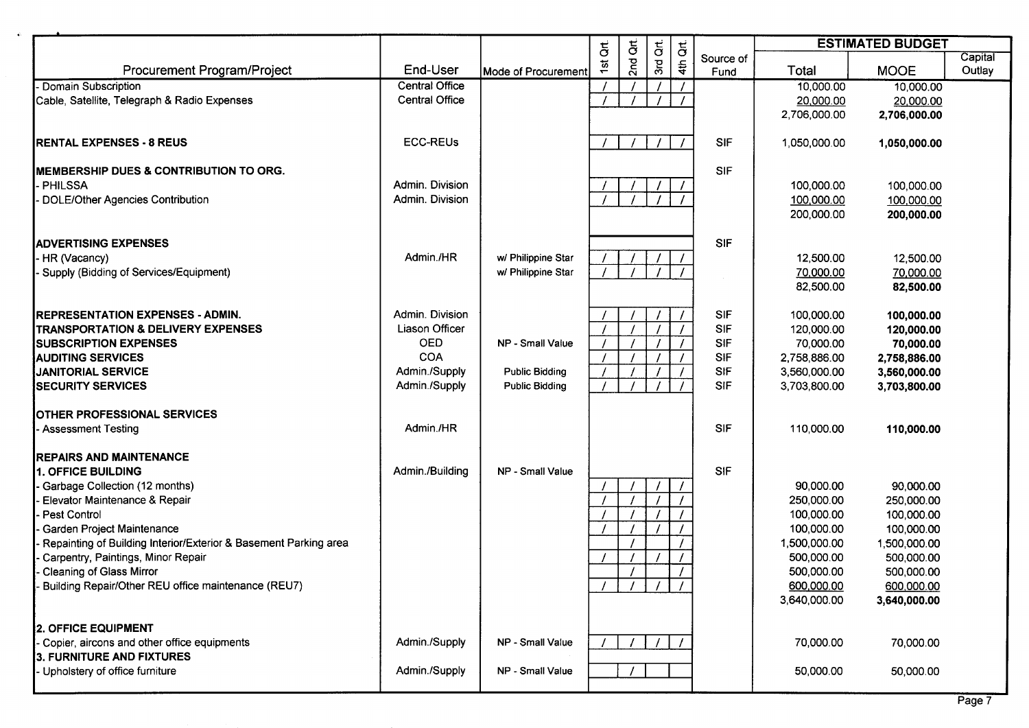|                                                                                        |                 |                       | $\overline{5}$ |                             | $\overleftrightarrow{\mathbf{G}}$ | $\vec{a}$       |                   |                          | <b>ESTIMATED BUDGET</b>  |                   |
|----------------------------------------------------------------------------------------|-----------------|-----------------------|----------------|-----------------------------|-----------------------------------|-----------------|-------------------|--------------------------|--------------------------|-------------------|
| Procurement Program/Project                                                            | End-User        | Mode of Procurement   | $\frac{1}{2}$  | 2nd Qrt.                    | $rac{1}{3}$                       | 4 <sup>th</sup> | Source of<br>Fund | Total                    | <b>MOOE</b>              | Capital<br>Outlay |
| <b>Domain Subscription</b>                                                             | Central Office  |                       |                |                             |                                   |                 |                   | 10,000.00                | 10,000.00                |                   |
| Cable, Satellite, Telegraph & Radio Expenses                                           | Central Office  |                       |                |                             |                                   |                 |                   | 20,000.00                | 20,000.00                |                   |
|                                                                                        |                 |                       |                |                             |                                   |                 |                   | 2,706,000.00             | 2,706,000.00             |                   |
| <b>RENTAL EXPENSES - 8 REUS</b>                                                        | <b>ECC-REUs</b> |                       |                |                             |                                   |                 | <b>SIF</b>        | 1,050,000.00             | 1,050,000.00             |                   |
| MEMBERSHIP DUES & CONTRIBUTION TO ORG.                                                 |                 |                       |                |                             |                                   |                 | <b>SIF</b>        |                          |                          |                   |
| PHILSSA                                                                                | Admin. Division |                       |                |                             |                                   |                 |                   | 100,000.00               | 100,000.00               |                   |
| DOLE/Other Agencies Contribution                                                       | Admin. Division |                       |                |                             |                                   |                 |                   | 100,000.00               | 100,000.00               |                   |
|                                                                                        |                 |                       |                |                             |                                   |                 |                   | 200,000.00               | 200,000.00               |                   |
| <b>ADVERTISING EXPENSES</b>                                                            |                 |                       |                |                             |                                   |                 | <b>SIF</b>        |                          |                          |                   |
| HR (Vacancy)                                                                           | Admin./HR       | w/ Philippine Star    |                |                             |                                   |                 |                   | 12,500.00                | 12,500.00                |                   |
| Supply (Bidding of Services/Equipment)                                                 |                 | w/ Philippine Star    |                |                             |                                   |                 |                   | 70,000.00                | 70,000.00                |                   |
|                                                                                        |                 |                       |                |                             |                                   |                 |                   | 82,500.00                | 82,500.00                |                   |
| <b>IREPRESENTATION EXPENSES - ADMIN.</b>                                               | Admin. Division |                       |                |                             |                                   |                 | <b>SIF</b>        | 100,000.00               | 100,000.00               |                   |
| <b>TRANSPORTATION &amp; DELIVERY EXPENSES</b>                                          | Liason Officer  |                       |                |                             |                                   |                 | <b>SIF</b>        | 120,000.00               | 120,000.00               |                   |
| <b>SUBSCRIPTION EXPENSES</b>                                                           | <b>OED</b>      | NP - Small Value      |                |                             |                                   |                 | SIF               | 70,000.00                | 70,000.00                |                   |
| <b>AUDITING SERVICES</b>                                                               | COA             |                       |                |                             |                                   |                 | <b>SIF</b>        | 2,758,886.00             | 2,758,886.00             |                   |
| JANITORIAL SERVICE                                                                     | Admin./Supply   | <b>Public Bidding</b> |                |                             |                                   |                 | <b>SIF</b>        | 3,560,000.00             | 3,560,000.00             |                   |
| <b>SECURITY SERVICES</b>                                                               | Admin./Supply   | <b>Public Bidding</b> |                |                             |                                   |                 | <b>SIF</b>        | 3,703,800.00             | 3,703,800.00             |                   |
| <b>OTHER PROFESSIONAL SERVICES</b>                                                     |                 |                       |                |                             |                                   |                 |                   |                          |                          |                   |
| <b>Assessment Testing</b>                                                              | Admin./HR       |                       |                |                             |                                   |                 | <b>SIF</b>        | 110,000.00               | 110,000.00               |                   |
| <b>IREPAIRS AND MAINTENANCE</b>                                                        |                 |                       |                |                             |                                   |                 |                   |                          |                          |                   |
| 1. OFFICE BUILDING                                                                     | Admin./Building | NP - Small Value      |                |                             |                                   |                 | <b>SIF</b>        |                          |                          |                   |
| Garbage Collection (12 months)                                                         |                 |                       |                |                             |                                   |                 |                   | 90,000.00                | 90,000.00                |                   |
| Elevator Maintenance & Repair                                                          |                 |                       |                |                             |                                   |                 |                   | 250,000.00               | 250,000.00               |                   |
| Pest Control                                                                           |                 |                       |                |                             |                                   |                 |                   | 100,000.00               | 100,000.00               |                   |
| Garden Project Maintenance                                                             |                 |                       |                |                             |                                   |                 |                   | 100,000.00               | 100,000.00               |                   |
| Repainting of Building Interior/Exterior & Basement Parking area                       |                 |                       |                |                             |                                   |                 |                   | 1,500,000.00             | 1,500,000.00             |                   |
| Carpentry, Paintings, Minor Repair                                                     |                 |                       |                |                             |                                   |                 |                   | 500,000.00<br>500,000.00 | 500,000.00               |                   |
| <b>Cleaning of Glass Mirror</b><br>Building Repair/Other REU office maintenance (REU7) |                 |                       |                | $I \perp I \perp I \perp I$ |                                   |                 |                   | 600,000.00               | 500,000.00<br>600,000.00 |                   |
|                                                                                        |                 |                       |                |                             |                                   |                 |                   | 3,640,000.00             | 3,640,000.00             |                   |
| <b>2. OFFICE EQUIPMENT</b>                                                             |                 |                       |                |                             |                                   |                 |                   |                          |                          |                   |
| Copier, aircons and other office equipments                                            | Admin./Supply   | NP - Small Value      |                |                             |                                   |                 |                   | 70,000.00                | 70,000.00                |                   |
| 3. FURNITURE AND FIXTURES                                                              |                 |                       |                |                             |                                   |                 |                   |                          |                          |                   |
| - Upholstery of office furniture                                                       | Admin./Supply   | NP - Small Value      |                |                             |                                   |                 |                   | 50,000.00                | 50,000.00                |                   |
|                                                                                        |                 |                       |                |                             |                                   |                 |                   |                          |                          |                   |

 $\mathcal{L}$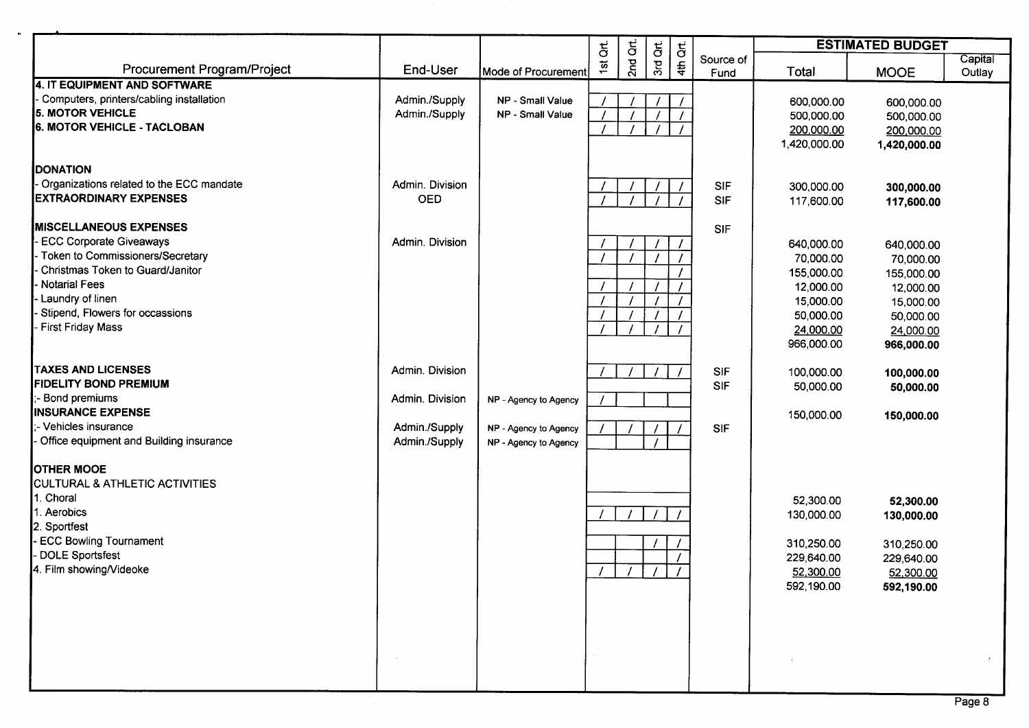|                                                                                                                                                                                                                                                     |                                                                      |                                                                         | ξ.            | $\vec{5}$ | $\rm \overline{5}$ | $\vec{a}$       |                          |                                                                                                         | <b>ESTIMATED BUDGET</b>                                                                                 |                   |
|-----------------------------------------------------------------------------------------------------------------------------------------------------------------------------------------------------------------------------------------------------|----------------------------------------------------------------------|-------------------------------------------------------------------------|---------------|-----------|--------------------|-----------------|--------------------------|---------------------------------------------------------------------------------------------------------|---------------------------------------------------------------------------------------------------------|-------------------|
| Procurement Program/Project                                                                                                                                                                                                                         | End-User                                                             | Mode of Procurement                                                     | $\frac{1}{2}$ | 2nd       | 3r <sub>d</sub>    | 4 <sup>th</sup> | Source of<br>Fund        | <b>Total</b>                                                                                            | <b>MOOE</b>                                                                                             | Capital<br>Outlay |
| 4. IT EQUIPMENT AND SOFTWARE<br>Computers, printers/cabling installation<br><b>5. MOTOR VEHICLE</b><br>6. MOTOR VEHICLE - TACLOBAN                                                                                                                  | Admin./Supply<br>Admin./Supply                                       | NP - Small Value<br>NP - Small Value                                    |               |           |                    |                 |                          | 600,000.00<br>500,000.00<br>200,000.00<br>1,420,000.00                                                  | 600,000.00<br>500,000.00<br>200,000.00<br>1,420,000.00                                                  |                   |
| <b>DONATION</b>                                                                                                                                                                                                                                     |                                                                      |                                                                         |               |           |                    |                 |                          |                                                                                                         |                                                                                                         |                   |
| Organizations related to the ECC mandate<br><b>EXTRAORDINARY EXPENSES</b>                                                                                                                                                                           | Admin. Division<br><b>OED</b>                                        |                                                                         |               |           |                    |                 | <b>SIF</b><br><b>SIF</b> | 300,000.00<br>117,600.00                                                                                | 300,000.00<br>117,600.00                                                                                |                   |
| <b>IMISCELLANEOUS EXPENSES</b><br><b>ECC Corporate Giveaways</b><br>Token to Commissioners/Secretary<br>Christmas Token to Guard/Janitor<br><b>Notarial Fees</b><br>Laundry of linen<br>Stipend, Flowers for occassions<br><b>First Friday Mass</b> | Admin. Division                                                      |                                                                         |               |           |                    |                 | <b>SIF</b>               | 640,000.00<br>70,000.00<br>155,000.00<br>12,000.00<br>15,000.00<br>50,000.00<br>24,000.00<br>966,000.00 | 640,000.00<br>70,000.00<br>155,000.00<br>12,000.00<br>15,000.00<br>50,000.00<br>24,000.00<br>966,000.00 |                   |
| <b>TAXES AND LICENSES</b><br><b>FIDELITY BOND PREMIUM</b><br>- Bond premiums<br><b>INSURANCE EXPENSE</b><br>- Vehicles insurance<br>Office equipment and Building insurance                                                                         | Admin. Division<br>Admin. Division<br>Admin./Supply<br>Admin./Supply | NP - Agency to Agency<br>NP - Agency to Agency<br>NP - Agency to Agency |               |           |                    |                 | SIF<br><b>SIF</b><br>SIF | 100,000.00<br>50,000.00<br>150,000.00                                                                   | 100,000.00<br>50,000.00<br>150,000.00                                                                   |                   |
| <b>OTHER MOOE</b><br><b>CULTURAL &amp; ATHLETIC ACTIVITIES</b><br>1. Choral<br>1. Aerobics<br>2. Sportfest<br><b>ECC Bowling Tournament</b><br>DOLE Sportsfest<br>4. Film showing/Videoke                                                           |                                                                      |                                                                         |               |           |                    |                 |                          | 52,300.00<br>130,000.00<br>310,250.00<br>229,640.00<br>52,300.00<br>592,190.00                          | 52,300.00<br>130,000.00<br>310,250.00<br>229,640.00<br>52,300.00<br>592,190.00                          |                   |

 $\alpha$